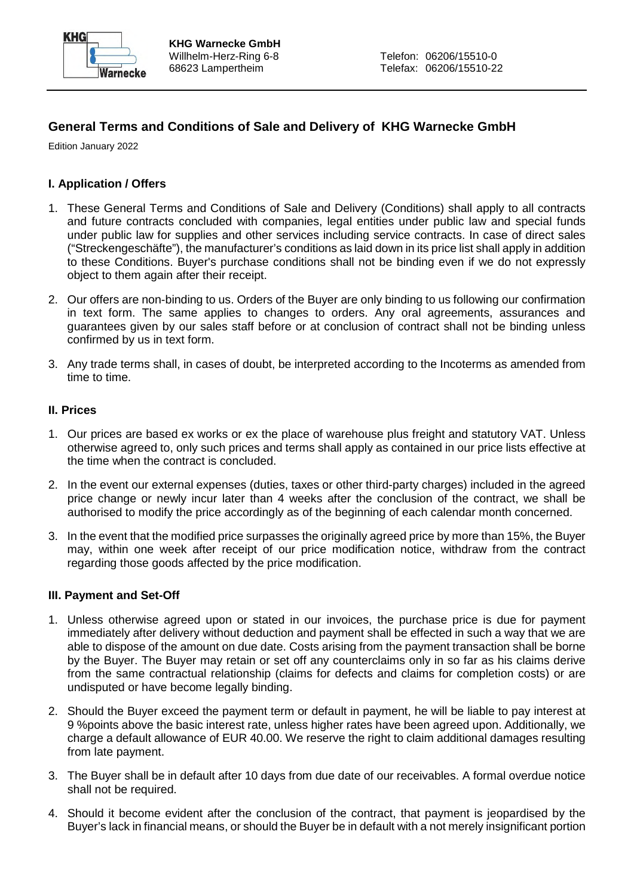

# **General Terms and Conditions of Sale and Delivery of KHG Warnecke GmbH**

Edition January 2022

### **I. Application / Offers**

- 1. These General Terms and Conditions of Sale and Delivery (Conditions) shall apply to all contracts and future contracts concluded with companies, legal entities under public law and special funds under public law for supplies and other services including service contracts. In case of direct sales ("Streckengeschäfte"), the manufacturer's conditions as laid down in its price list shall apply in addition to these Conditions. Buyer's purchase conditions shall not be binding even if we do not expressly object to them again after their receipt.
- 2. Our offers are non-binding to us. Orders of the Buyer are only binding to us following our confirmation in text form. The same applies to changes to orders. Any oral agreements, assurances and guarantees given by our sales staff before or at conclusion of contract shall not be binding unless confirmed by us in text form.
- 3. Any trade terms shall, in cases of doubt, be interpreted according to the Incoterms as amended from time to time.

#### **II. Prices**

- 1. Our prices are based ex works or ex the place of warehouse plus freight and statutory VAT. Unless otherwise agreed to, only such prices and terms shall apply as contained in our price lists effective at the time when the contract is concluded.
- 2. In the event our external expenses (duties, taxes or other third-party charges) included in the agreed price change or newly incur later than 4 weeks after the conclusion of the contract, we shall be authorised to modify the price accordingly as of the beginning of each calendar month concerned.
- 3. In the event that the modified price surpasses the originally agreed price by more than 15%, the Buyer may, within one week after receipt of our price modification notice, withdraw from the contract regarding those goods affected by the price modification.

#### **III. Payment and Set-Off**

- 1. Unless otherwise agreed upon or stated in our invoices, the purchase price is due for payment immediately after delivery without deduction and payment shall be effected in such a way that we are able to dispose of the amount on due date. Costs arising from the payment transaction shall be borne by the Buyer. The Buyer may retain or set off any counterclaims only in so far as his claims derive from the same contractual relationship (claims for defects and claims for completion costs) or are undisputed or have become legally binding.
- 2. Should the Buyer exceed the payment term or default in payment, he will be liable to pay interest at 9 %points above the basic interest rate, unless higher rates have been agreed upon. Additionally, we charge a default allowance of EUR 40.00. We reserve the right to claim additional damages resulting from late payment.
- 3. The Buyer shall be in default after 10 days from due date of our receivables. A formal overdue notice shall not be required.
- 4. Should it become evident after the conclusion of the contract, that payment is jeopardised by the Buyer's lack in financial means, or should the Buyer be in default with a not merely insignificant portion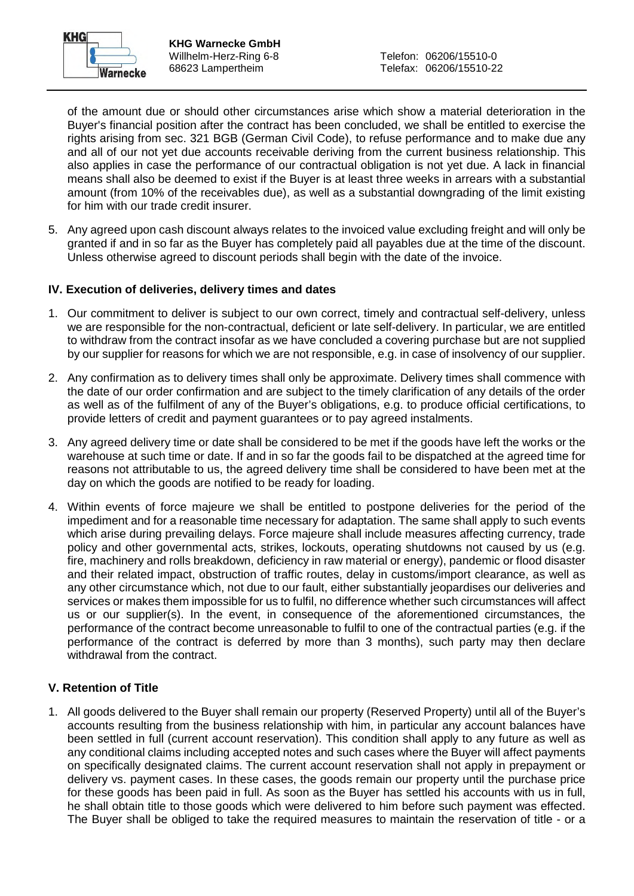

of the amount due or should other circumstances arise which show a material deterioration in the Buyer's financial position after the contract has been concluded, we shall be entitled to exercise the rights arising from sec. 321 BGB (German Civil Code), to refuse performance and to make due any and all of our not yet due accounts receivable deriving from the current business relationship. This also applies in case the performance of our contractual obligation is not yet due. A lack in financial means shall also be deemed to exist if the Buyer is at least three weeks in arrears with a substantial amount (from 10% of the receivables due), as well as a substantial downgrading of the limit existing for him with our trade credit insurer.

5. Any agreed upon cash discount always relates to the invoiced value excluding freight and will only be granted if and in so far as the Buyer has completely paid all payables due at the time of the discount. Unless otherwise agreed to discount periods shall begin with the date of the invoice.

### **IV. Execution of deliveries, delivery times and dates**

- 1. Our commitment to deliver is subject to our own correct, timely and contractual self-delivery, unless we are responsible for the non-contractual, deficient or late self-delivery. In particular, we are entitled to withdraw from the contract insofar as we have concluded a covering purchase but are not supplied by our supplier for reasons for which we are not responsible, e.g. in case of insolvency of our supplier.
- 2. Any confirmation as to delivery times shall only be approximate. Delivery times shall commence with the date of our order confirmation and are subject to the timely clarification of any details of the order as well as of the fulfilment of any of the Buyer's obligations, e.g. to produce official certifications, to provide letters of credit and payment guarantees or to pay agreed instalments.
- 3. Any agreed delivery time or date shall be considered to be met if the goods have left the works or the warehouse at such time or date. If and in so far the goods fail to be dispatched at the agreed time for reasons not attributable to us, the agreed delivery time shall be considered to have been met at the day on which the goods are notified to be ready for loading.
- 4. Within events of force majeure we shall be entitled to postpone deliveries for the period of the impediment and for a reasonable time necessary for adaptation. The same shall apply to such events which arise during prevailing delays. Force majeure shall include measures affecting currency, trade policy and other governmental acts, strikes, lockouts, operating shutdowns not caused by us (e.g. fire, machinery and rolls breakdown, deficiency in raw material or energy), pandemic or flood disaster and their related impact, obstruction of traffic routes, delay in customs/import clearance, as well as any other circumstance which, not due to our fault, either substantially jeopardises our deliveries and services or makes them impossible for us to fulfil, no difference whether such circumstances will affect us or our supplier(s). In the event, in consequence of the aforementioned circumstances, the performance of the contract become unreasonable to fulfil to one of the contractual parties (e.g. if the performance of the contract is deferred by more than 3 months), such party may then declare withdrawal from the contract.

## **V. Retention of Title**

1. All goods delivered to the Buyer shall remain our property (Reserved Property) until all of the Buyer's accounts resulting from the business relationship with him, in particular any account balances have been settled in full (current account reservation). This condition shall apply to any future as well as any conditional claims including accepted notes and such cases where the Buyer will affect payments on specifically designated claims. The current account reservation shall not apply in prepayment or delivery vs. payment cases. In these cases, the goods remain our property until the purchase price for these goods has been paid in full. As soon as the Buyer has settled his accounts with us in full, he shall obtain title to those goods which were delivered to him before such payment was effected. The Buyer shall be obliged to take the required measures to maintain the reservation of title - or a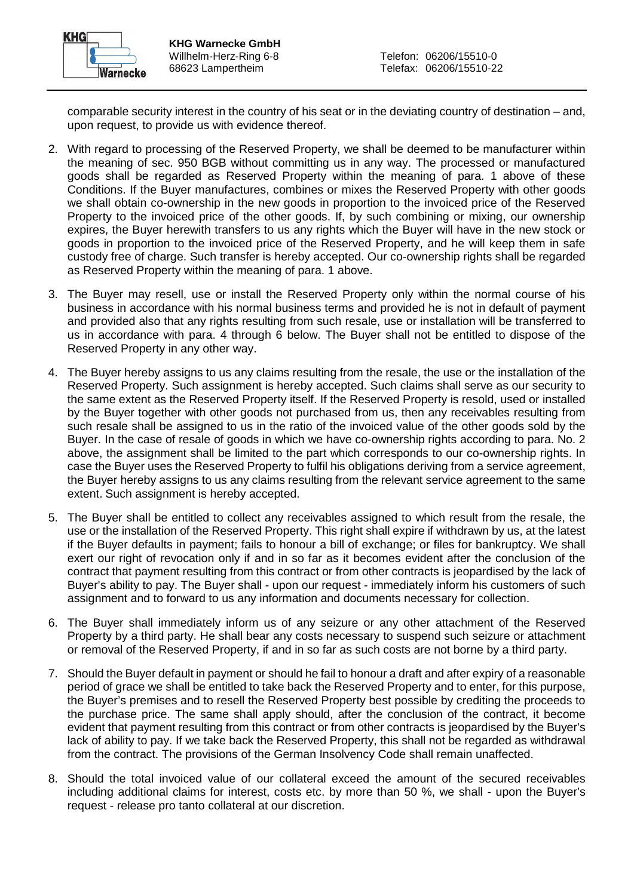

comparable security interest in the country of his seat or in the deviating country of destination – and, upon request, to provide us with evidence thereof.

- 2. With regard to processing of the Reserved Property, we shall be deemed to be manufacturer within the meaning of sec. 950 BGB without committing us in any way. The processed or manufactured goods shall be regarded as Reserved Property within the meaning of para. 1 above of these Conditions. If the Buyer manufactures, combines or mixes the Reserved Property with other goods we shall obtain co-ownership in the new goods in proportion to the invoiced price of the Reserved Property to the invoiced price of the other goods. If, by such combining or mixing, our ownership expires, the Buyer herewith transfers to us any rights which the Buyer will have in the new stock or goods in proportion to the invoiced price of the Reserved Property, and he will keep them in safe custody free of charge. Such transfer is hereby accepted. Our co-ownership rights shall be regarded as Reserved Property within the meaning of para. 1 above.
- 3. The Buyer may resell, use or install the Reserved Property only within the normal course of his business in accordance with his normal business terms and provided he is not in default of payment and provided also that any rights resulting from such resale, use or installation will be transferred to us in accordance with para. 4 through 6 below. The Buyer shall not be entitled to dispose of the Reserved Property in any other way.
- 4. The Buyer hereby assigns to us any claims resulting from the resale, the use or the installation of the Reserved Property. Such assignment is hereby accepted. Such claims shall serve as our security to the same extent as the Reserved Property itself. If the Reserved Property is resold, used or installed by the Buyer together with other goods not purchased from us, then any receivables resulting from such resale shall be assigned to us in the ratio of the invoiced value of the other goods sold by the Buyer. In the case of resale of goods in which we have co-ownership rights according to para. No. 2 above, the assignment shall be limited to the part which corresponds to our co-ownership rights. In case the Buyer uses the Reserved Property to fulfil his obligations deriving from a service agreement, the Buyer hereby assigns to us any claims resulting from the relevant service agreement to the same extent. Such assignment is hereby accepted.
- 5. The Buyer shall be entitled to collect any receivables assigned to which result from the resale, the use or the installation of the Reserved Property. This right shall expire if withdrawn by us, at the latest if the Buyer defaults in payment; fails to honour a bill of exchange; or files for bankruptcy. We shall exert our right of revocation only if and in so far as it becomes evident after the conclusion of the contract that payment resulting from this contract or from other contracts is jeopardised by the lack of Buyer's ability to pay. The Buyer shall - upon our request - immediately inform his customers of such assignment and to forward to us any information and documents necessary for collection.
- 6. The Buyer shall immediately inform us of any seizure or any other attachment of the Reserved Property by a third party. He shall bear any costs necessary to suspend such seizure or attachment or removal of the Reserved Property, if and in so far as such costs are not borne by a third party.
- 7. Should the Buyer default in payment or should he fail to honour a draft and after expiry of a reasonable period of grace we shall be entitled to take back the Reserved Property and to enter, for this purpose, the Buyer's premises and to resell the Reserved Property best possible by crediting the proceeds to the purchase price. The same shall apply should, after the conclusion of the contract, it become evident that payment resulting from this contract or from other contracts is jeopardised by the Buyer's lack of ability to pay. If we take back the Reserved Property, this shall not be regarded as withdrawal from the contract. The provisions of the German Insolvency Code shall remain unaffected.
- 8. Should the total invoiced value of our collateral exceed the amount of the secured receivables including additional claims for interest, costs etc. by more than 50 %, we shall - upon the Buyer's request - release pro tanto collateral at our discretion.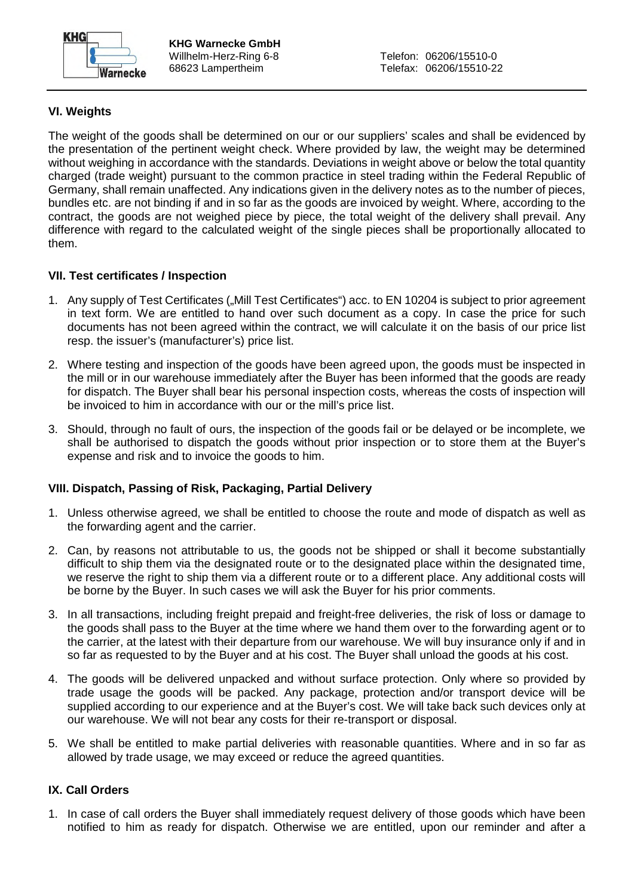

# **VI. Weights**

The weight of the goods shall be determined on our or our suppliers' scales and shall be evidenced by the presentation of the pertinent weight check. Where provided by law, the weight may be determined without weighing in accordance with the standards. Deviations in weight above or below the total quantity charged (trade weight) pursuant to the common practice in steel trading within the Federal Republic of Germany, shall remain unaffected. Any indications given in the delivery notes as to the number of pieces, bundles etc. are not binding if and in so far as the goods are invoiced by weight. Where, according to the contract, the goods are not weighed piece by piece, the total weight of the delivery shall prevail. Any difference with regard to the calculated weight of the single pieces shall be proportionally allocated to them.

## **VII. Test certificates / Inspection**

- 1. Any supply of Test Certificates ("Mill Test Certificates") acc. to EN 10204 is subject to prior agreement in text form. We are entitled to hand over such document as a copy. In case the price for such documents has not been agreed within the contract, we will calculate it on the basis of our price list resp. the issuer's (manufacturer's) price list.
- 2. Where testing and inspection of the goods have been agreed upon, the goods must be inspected in the mill or in our warehouse immediately after the Buyer has been informed that the goods are ready for dispatch. The Buyer shall bear his personal inspection costs, whereas the costs of inspection will be invoiced to him in accordance with our or the mill's price list.
- 3. Should, through no fault of ours, the inspection of the goods fail or be delayed or be incomplete, we shall be authorised to dispatch the goods without prior inspection or to store them at the Buyer's expense and risk and to invoice the goods to him.

## **VIII. Dispatch, Passing of Risk, Packaging, Partial Delivery**

- 1. Unless otherwise agreed, we shall be entitled to choose the route and mode of dispatch as well as the forwarding agent and the carrier.
- 2. Can, by reasons not attributable to us, the goods not be shipped or shall it become substantially difficult to ship them via the designated route or to the designated place within the designated time, we reserve the right to ship them via a different route or to a different place. Any additional costs will be borne by the Buyer. In such cases we will ask the Buyer for his prior comments.
- 3. In all transactions, including freight prepaid and freight-free deliveries, the risk of loss or damage to the goods shall pass to the Buyer at the time where we hand them over to the forwarding agent or to the carrier, at the latest with their departure from our warehouse. We will buy insurance only if and in so far as requested to by the Buyer and at his cost. The Buyer shall unload the goods at his cost.
- 4. The goods will be delivered unpacked and without surface protection. Only where so provided by trade usage the goods will be packed. Any package, protection and/or transport device will be supplied according to our experience and at the Buyer's cost. We will take back such devices only at our warehouse. We will not bear any costs for their re-transport or disposal.
- 5. We shall be entitled to make partial deliveries with reasonable quantities. Where and in so far as allowed by trade usage, we may exceed or reduce the agreed quantities.

## **IX. Call Orders**

1. In case of call orders the Buyer shall immediately request delivery of those goods which have been notified to him as ready for dispatch. Otherwise we are entitled, upon our reminder and after a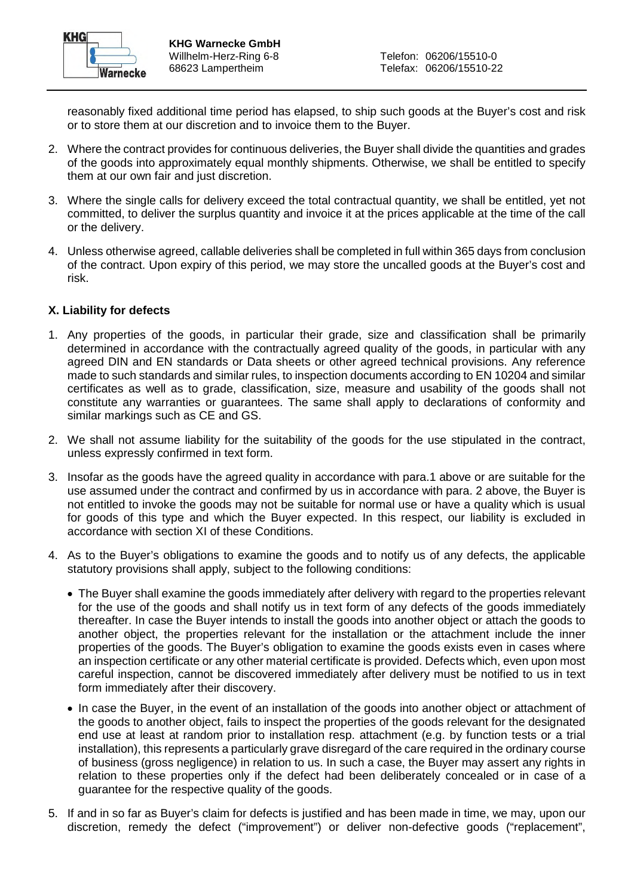

reasonably fixed additional time period has elapsed, to ship such goods at the Buyer's cost and risk or to store them at our discretion and to invoice them to the Buyer.

- 2. Where the contract provides for continuous deliveries, the Buyer shall divide the quantities and grades of the goods into approximately equal monthly shipments. Otherwise, we shall be entitled to specify them at our own fair and just discretion.
- 3. Where the single calls for delivery exceed the total contractual quantity, we shall be entitled, yet not committed, to deliver the surplus quantity and invoice it at the prices applicable at the time of the call or the delivery.
- 4. Unless otherwise agreed, callable deliveries shall be completed in full within 365 days from conclusion of the contract. Upon expiry of this period, we may store the uncalled goods at the Buyer's cost and risk.

#### **X. Liability for defects**

- 1. Any properties of the goods, in particular their grade, size and classification shall be primarily determined in accordance with the contractually agreed quality of the goods, in particular with any agreed DIN and EN standards or Data sheets or other agreed technical provisions. Any reference made to such standards and similar rules, to inspection documents according to EN 10204 and similar certificates as well as to grade, classification, size, measure and usability of the goods shall not constitute any warranties or guarantees. The same shall apply to declarations of conformity and similar markings such as CE and GS.
- 2. We shall not assume liability for the suitability of the goods for the use stipulated in the contract, unless expressly confirmed in text form.
- 3. Insofar as the goods have the agreed quality in accordance with para.1 above or are suitable for the use assumed under the contract and confirmed by us in accordance with para. 2 above, the Buyer is not entitled to invoke the goods may not be suitable for normal use or have a quality which is usual for goods of this type and which the Buyer expected. In this respect, our liability is excluded in accordance with section XI of these Conditions.
- 4. As to the Buyer's obligations to examine the goods and to notify us of any defects, the applicable statutory provisions shall apply, subject to the following conditions:
	- The Buyer shall examine the goods immediately after delivery with regard to the properties relevant for the use of the goods and shall notify us in text form of any defects of the goods immediately thereafter. In case the Buyer intends to install the goods into another object or attach the goods to another object, the properties relevant for the installation or the attachment include the inner properties of the goods. The Buyer's obligation to examine the goods exists even in cases where an inspection certificate or any other material certificate is provided. Defects which, even upon most careful inspection, cannot be discovered immediately after delivery must be notified to us in text form immediately after their discovery.
	- In case the Buyer, in the event of an installation of the goods into another object or attachment of the goods to another object, fails to inspect the properties of the goods relevant for the designated end use at least at random prior to installation resp. attachment (e.g. by function tests or a trial installation), this represents a particularly grave disregard of the care required in the ordinary course of business (gross negligence) in relation to us. In such a case, the Buyer may assert any rights in relation to these properties only if the defect had been deliberately concealed or in case of a guarantee for the respective quality of the goods.
- 5. If and in so far as Buyer's claim for defects is justified and has been made in time, we may, upon our discretion, remedy the defect ("improvement") or deliver non-defective goods ("replacement",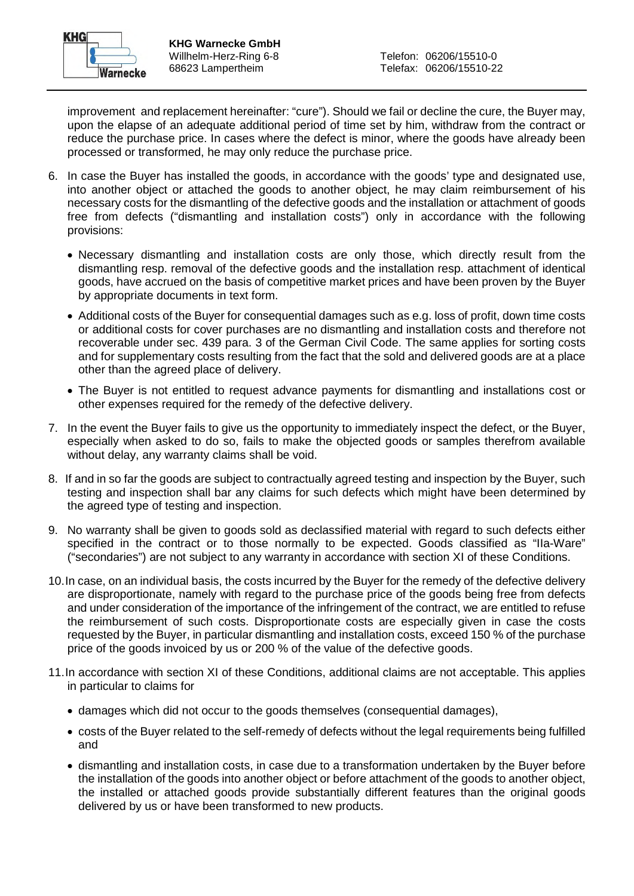

improvement and replacement hereinafter: "cure"). Should we fail or decline the cure, the Buyer may, upon the elapse of an adequate additional period of time set by him, withdraw from the contract or reduce the purchase price. In cases where the defect is minor, where the goods have already been processed or transformed, he may only reduce the purchase price.

- 6. In case the Buyer has installed the goods, in accordance with the goods' type and designated use, into another object or attached the goods to another object, he may claim reimbursement of his necessary costs for the dismantling of the defective goods and the installation or attachment of goods free from defects ("dismantling and installation costs") only in accordance with the following provisions:
	- Necessary dismantling and installation costs are only those, which directly result from the dismantling resp. removal of the defective goods and the installation resp. attachment of identical goods, have accrued on the basis of competitive market prices and have been proven by the Buyer by appropriate documents in text form.
	- Additional costs of the Buyer for consequential damages such as e.g. loss of profit, down time costs or additional costs for cover purchases are no dismantling and installation costs and therefore not recoverable under sec. 439 para. 3 of the German Civil Code. The same applies for sorting costs and for supplementary costs resulting from the fact that the sold and delivered goods are at a place other than the agreed place of delivery.
	- The Buyer is not entitled to request advance payments for dismantling and installations cost or other expenses required for the remedy of the defective delivery.
- 7. In the event the Buyer fails to give us the opportunity to immediately inspect the defect, or the Buyer, especially when asked to do so, fails to make the objected goods or samples therefrom available without delay, any warranty claims shall be void.
- 8. If and in so far the goods are subject to contractually agreed testing and inspection by the Buyer, such testing and inspection shall bar any claims for such defects which might have been determined by the agreed type of testing and inspection.
- 9. No warranty shall be given to goods sold as declassified material with regard to such defects either specified in the contract or to those normally to be expected. Goods classified as "IIa-Ware" ("secondaries") are not subject to any warranty in accordance with section XI of these Conditions.
- 10. In case, on an individual basis, the costs incurred by the Buyer for the remedy of the defective delivery are disproportionate, namely with regard to the purchase price of the goods being free from defects and under consideration of the importance of the infringement of the contract, we are entitled to refuse the reimbursement of such costs. Disproportionate costs are especially given in case the costs requested by the Buyer, in particular dismantling and installation costs, exceed 150 % of the purchase price of the goods invoiced by us or 200 % of the value of the defective goods.
- 11. In accordance with section XI of these Conditions, additional claims are not acceptable. This applies in particular to claims for
	- damages which did not occur to the goods themselves (consequential damages),
	- costs of the Buyer related to the self-remedy of defects without the legal requirements being fulfilled and
	- dismantling and installation costs, in case due to a transformation undertaken by the Buyer before the installation of the goods into another object or before attachment of the goods to another object, the installed or attached goods provide substantially different features than the original goods delivered by us or have been transformed to new products.